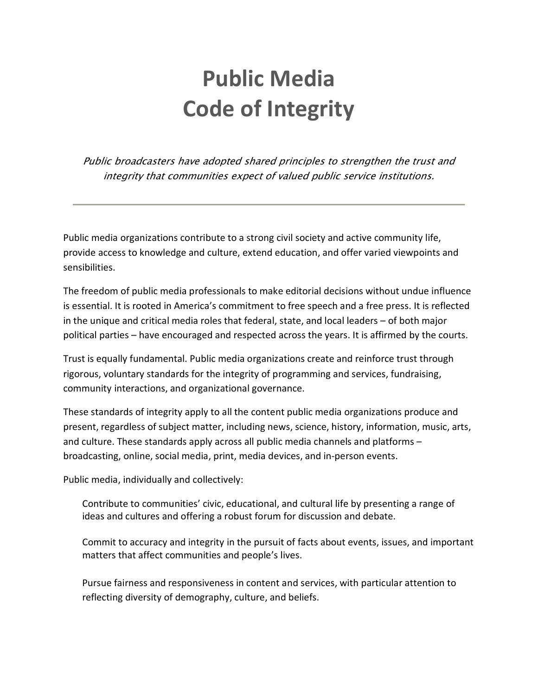## **Public Media Code of Integrity**

Public broadcasters have adopted shared principles to strengthen the trust and integrity that communities expect of valued public service institutions.

Public media organizations contribute to a strong civil society and active community life, provide access to knowledge and culture, extend education, and offer varied viewpoints and sensibilities.

The freedom of public media professionals to make editorial decisions without undue influence is essential. It is rooted in America's commitment to free speech and a free press. It is reflected in the unique and critical media roles that federal, state, and local leaders – of both major political parties – have encouraged and respected across the years. It is affirmed by the courts.

Trust is equally fundamental. Public media organizations create and reinforce trust through rigorous, voluntary standards for the integrity of programming and services, fundraising, community interactions, and organizational governance.

These standards of integrity apply to all the content public media organizations produce and present, regardless of subject matter, including news, science, history, information, music, arts, and culture. These standards apply across all public media channels and platforms – broadcasting, online, social media, print, media devices, and in-person events.

Public media, individually and collectively:

Contribute to communities' civic, educational, and cultural life by presenting a range of ideas and cultures and offering a robust forum for discussion and debate.

Commit to accuracy and integrity in the pursuit of facts about events, issues, and important matters that affect communities and people's lives.

Pursue fairness and responsiveness in content and services, with particular attention to reflecting diversity of demography, culture, and beliefs.